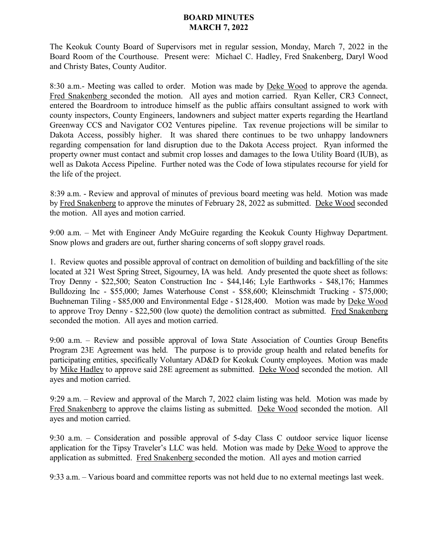## **BOARD MINUTES MARCH 7, 2022**

The Keokuk County Board of Supervisors met in regular session, Monday, March 7, 2022 in the Board Room of the Courthouse. Present were: Michael C. Hadley, Fred Snakenberg, Daryl Wood and Christy Bates, County Auditor.

8:30 a.m.- Meeting was called to order. Motion was made by Deke Wood to approve the agenda. Fred Snakenberg seconded the motion. All ayes and motion carried. Ryan Keller, CR3 Connect, entered the Boardroom to introduce himself as the public affairs consultant assigned to work with county inspectors, County Engineers, landowners and subject matter experts regarding the Heartland Greenway CCS and Navigator CO2 Ventures pipeline. Tax revenue projections will be similar to Dakota Access, possibly higher. It was shared there continues to be two unhappy landowners regarding compensation for land disruption due to the Dakota Access project. Ryan informed the property owner must contact and submit crop losses and damages to the Iowa Utility Board (IUB), as well as Dakota Access Pipeline. Further noted was the Code of Iowa stipulates recourse for yield for the life of the project.

8:39 a.m. - Review and approval of minutes of previous board meeting was held. Motion was made by Fred Snakenberg to approve the minutes of February 28, 2022 as submitted. Deke Wood seconded the motion. All ayes and motion carried.

9:00 a.m. – Met with Engineer Andy McGuire regarding the Keokuk County Highway Department. Snow plows and graders are out, further sharing concerns of soft sloppy gravel roads.

1. Review quotes and possible approval of contract on demolition of building and backfilling of the site located at 321 West Spring Street, Sigourney, IA was held. Andy presented the quote sheet as follows: Troy Denny - \$22,500; Seaton Construction Inc - \$44,146; Lyle Earthworks - \$48,176; Hammes Bulldozing Inc - \$55,000; James Waterhouse Const - \$58,600; Kleinschmidt Trucking - \$75,000; Buehneman Tiling - \$85,000 and Environmental Edge - \$128,400. Motion was made by Deke Wood to approve Troy Denny - \$22,500 (low quote) the demolition contract as submitted. Fred Snakenberg seconded the motion. All ayes and motion carried.

9:00 a.m. – Review and possible approval of Iowa State Association of Counties Group Benefits Program 23E Agreement was held. The purpose is to provide group health and related benefits for participating entities, specifically Voluntary AD&D for Keokuk County employees. Motion was made by Mike Hadley to approve said 28E agreement as submitted. Deke Wood seconded the motion. All ayes and motion carried.

9:29 a.m. – Review and approval of the March 7, 2022 claim listing was held. Motion was made by Fred Snakenberg to approve the claims listing as submitted. Deke Wood seconded the motion. All ayes and motion carried.

9:30 a.m. – Consideration and possible approval of 5-day Class C outdoor service liquor license application for the Tipsy Traveler's LLC was held. Motion was made by Deke Wood to approve the application as submitted. Fred Snakenberg seconded the motion. All ayes and motion carried

9:33 a.m. – Various board and committee reports was not held due to no external meetings last week.